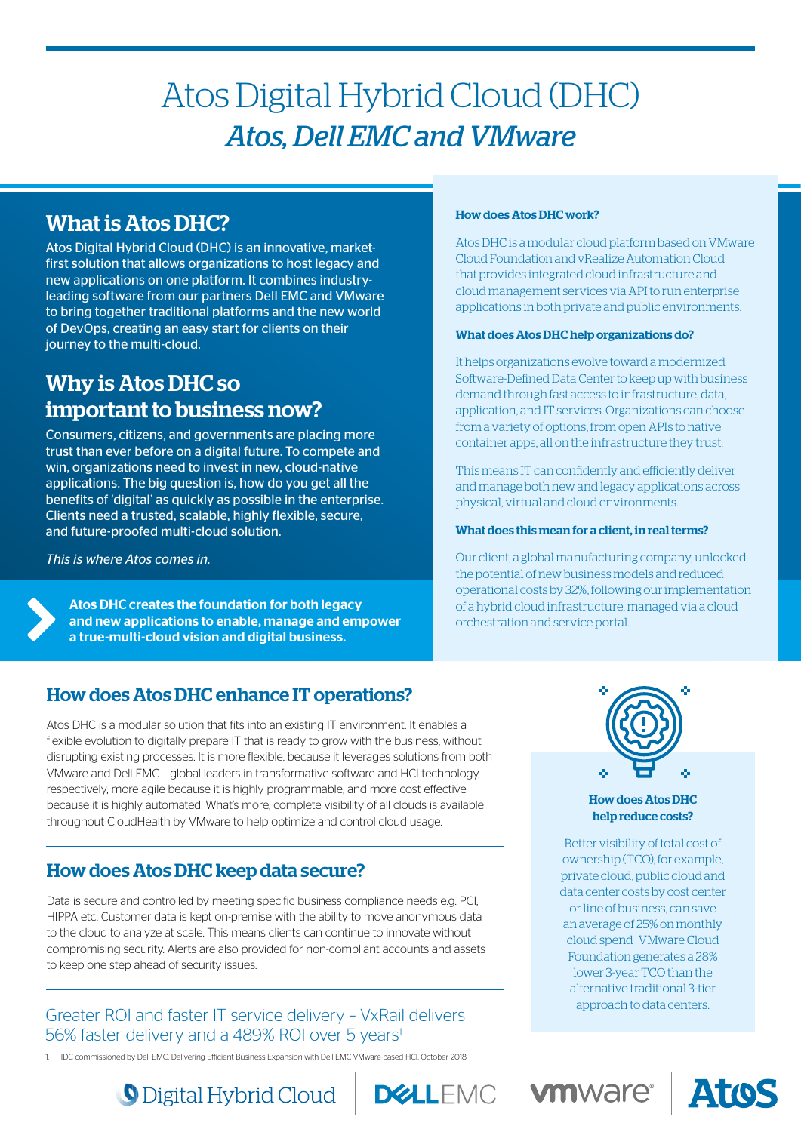# Atos Digital Hybrid Cloud (DHC) *Atos, Dell EMC and VMware*

# What is Atos DHC?

Atos Digital Hybrid Cloud (DHC) is an innovative, marketfirst solution that allows organizations to host legacy and new applications on one platform. It combines industryleading software from our partners Dell EMC and VMware to bring together traditional platforms and the new world of DevOps, creating an easy start for clients on their journey to the multi-cloud.

# Why is Atos DHC so important to business now?

Consumers, citizens, and governments are placing more trust than ever before on a digital future. To compete and win, organizations need to invest in new, cloud-native applications. The big question is, how do you get all the benefits of 'digital' as quickly as possible in the enterprise. Clients need a trusted, scalable, highly flexible, secure, and future-proofed multi-cloud solution.

*This is where Atos comes in.* 

Atos DHC creates the foundation for both legacy and new applications to enable, manage and empower a true-multi-cloud vision and digital business.

# How does Atos DHC enhance IT operations?

Atos DHC is a modular solution that fits into an existing IT environment. It enables a flexible evolution to digitally prepare IT that is ready to grow with the business, without disrupting existing processes. It is more flexible, because it leverages solutions from both VMware and Dell EMC – global leaders in transformative software and HCI technology, respectively; more agile because it is highly programmable; and more cost effective because it is highly automated. What's more, complete visibility of all clouds is available throughout CloudHealth by VMware to help optimize and control cloud usage.

# How does Atos DHC keep data secure?

Data is secure and controlled by meeting specific business compliance needs e.g. PCI, HIPPA etc. Customer data is kept on-premise with the ability to move anonymous data to the cloud to analyze at scale. This means clients can continue to innovate without compromising security. Alerts are also provided for non-compliant accounts and assets to keep one step ahead of security issues.

### Greater ROI and faster IT service delivery – VxRail delivers 56% faster delivery and a 489% ROI over 5 years<sup>1</sup>

1. IDC commissioned by Dell EMC, Delivering Efficient Business Expansion with Dell EMC VMware-based HCI, October 2018

#### How does Atos DHC work?

Atos DHC is a modular cloud platform based on VMware Cloud Foundation and vRealize Automation Cloud that provides integrated cloud infrastructure and cloud management services via API to run enterprise applications in both private and public environments.

#### What does Atos DHC help organizations do?

It helps organizations evolve toward a modernized Software-Defined Data Center to keep up with business demand through fast access to infrastructure, data, application, and IT services. Organizations can choose from a variety of options, from open APIs to native container apps, all on the infrastructure they trust.

This means IT can confidently and efficiently deliver and manage both new and legacy applications across physical, virtual and cloud environments.

#### What does this mean for a client, in real terms?

Our client, a global manufacturing company, unlocked the potential of new business models and reduced operational costs by 32%, following our implementation of a hybrid cloud infrastructure, managed via a cloud orchestration and service portal.



#### How does Atos DHC help reduce costs?

Better visibility of total cost of ownership (TCO), for example, private cloud, public cloud and data center costs by cost center or line of business, can save an average of 25% on monthly cloud spend. VMware Cloud Foundation generates a 28% lower 3-year TCO than the alternative traditional 3-tier approach to data centers.